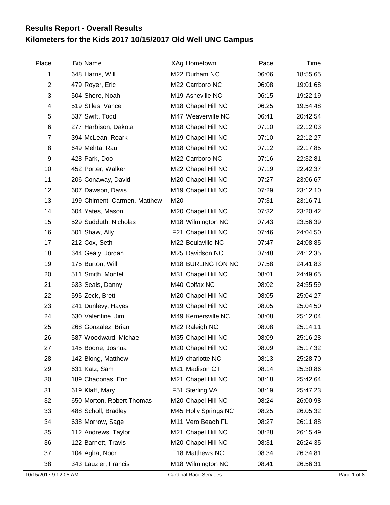## **Kilometers for the Kids 2017 10/15/2017 Old Well UNC Campus Results Report - Overall Results**

| Place          | <b>Bib Name</b>              | XAg Hometown                   | Pace  | Time     |
|----------------|------------------------------|--------------------------------|-------|----------|
| 1              | 648 Harris, Will             | M22 Durham NC                  | 06:06 | 18:55.65 |
| $\mathbf{2}$   | 479 Royer, Eric              | M22 Carrboro NC                | 06:08 | 19:01.68 |
| 3              | 504 Shore, Noah              | M19 Asheville NC               | 06:15 | 19:22.19 |
| 4              | 519 Stiles, Vance            | M18 Chapel Hill NC             | 06:25 | 19:54.48 |
| 5              | 537 Swift, Todd              | M47 Weaverville NC             | 06:41 | 20:42.54 |
| 6              | 277 Harbison, Dakota         | M18 Chapel Hill NC             | 07:10 | 22:12.03 |
| $\overline{7}$ | 394 McLean, Roark            | M19 Chapel Hill NC             | 07:10 | 22:12.27 |
| 8              | 649 Mehta, Raul              | M18 Chapel Hill NC             | 07:12 | 22:17.85 |
| 9              | 428 Park, Doo                | M22 Carrboro NC                | 07:16 | 22:32.81 |
| 10             | 452 Porter, Walker           | M22 Chapel Hill NC             | 07:19 | 22:42.37 |
| 11             | 206 Conaway, David           | M20 Chapel Hill NC             | 07:27 | 23:06.67 |
| 12             | 607 Dawson, Davis            | M <sub>19</sub> Chapel Hill NC | 07:29 | 23:12.10 |
| 13             | 199 Chimenti-Carmen, Matthew | M20                            | 07:31 | 23:16.71 |
| 14             | 604 Yates, Mason             | M20 Chapel Hill NC             | 07:32 | 23:20.42 |
| 15             | 529 Sudduth, Nicholas        | M18 Wilmington NC              | 07:43 | 23:56.39 |
| 16             | 501 Shaw, Ally               | F21 Chapel Hill NC             | 07:46 | 24:04.50 |
| 17             | 212 Cox, Seth                | M22 Beulaville NC              | 07:47 | 24:08.85 |
| 18             | 644 Gealy, Jordan            | M25 Davidson NC                | 07:48 | 24:12.35 |
| 19             | 175 Burton, Will             | M18 BURLINGTON NC              | 07:58 | 24:41.83 |
| 20             | 511 Smith, Montel            | M31 Chapel Hill NC             | 08:01 | 24:49.65 |
| 21             | 633 Seals, Danny             | M40 Colfax NC                  | 08:02 | 24:55.59 |
| 22             | 595 Zeck, Brett              | M20 Chapel Hill NC             | 08:05 | 25:04.27 |
| 23             | 241 Dunlevy, Hayes           | M19 Chapel Hill NC             | 08:05 | 25:04.50 |
| 24             | 630 Valentine, Jim           | M49 Kernersville NC            | 08:08 | 25:12.04 |
| 25             | 268 Gonzalez, Brian          | M22 Raleigh NC                 | 08:08 | 25:14.11 |
| 26             | 587 Woodward, Michael        | M35 Chapel Hill NC             | 08:09 | 25:16.28 |
| 27             | 145 Boone, Joshua            | M20 Chapel Hill NC             | 08:09 | 25:17.32 |
| 28             | 142 Blong, Matthew           | M19 charlotte NC               | 08:13 | 25:28.70 |
| 29             | 631 Katz, Sam                | M21 Madison CT                 | 08:14 | 25:30.86 |
| 30             | 189 Chaconas, Eric           | M21 Chapel Hill NC             | 08:18 | 25:42.64 |
| 31             | 619 Klaff, Mary              | F51 Sterling VA                | 08:19 | 25:47.23 |
| 32             | 650 Morton, Robert Thomas    | M20 Chapel Hill NC             | 08:24 | 26:00.98 |
| 33             | 488 Scholl, Bradley          | M45 Holly Springs NC           | 08:25 | 26:05.32 |
| 34             | 638 Morrow, Sage             | M11 Vero Beach FL              | 08:27 | 26:11.88 |
| 35             | 112 Andrews, Taylor          | M21 Chapel Hill NC             | 08:28 | 26:15.49 |
| 36             | 122 Barnett, Travis          | M20 Chapel Hill NC             | 08:31 | 26:24.35 |
| 37             | 104 Agha, Noor               | F18 Matthews NC                | 08:34 | 26:34.81 |
| 38             | 343 Lauzier, Francis         | M18 Wilmington NC              | 08:41 | 26:56.31 |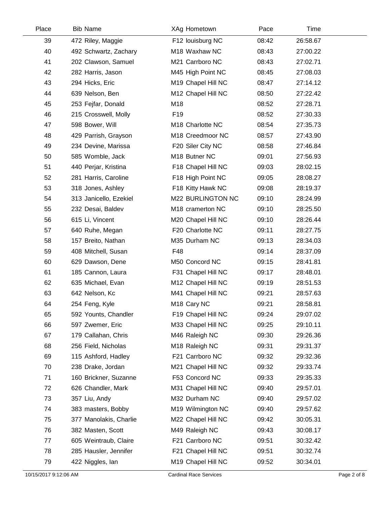| Place | <b>Bib Name</b>        | XAg Hometown               | Pace  | Time     |
|-------|------------------------|----------------------------|-------|----------|
| 39    | 472 Riley, Maggie      | F12 louisburg NC           | 08:42 | 26:58.67 |
| 40    | 492 Schwartz, Zachary  | M <sub>18</sub> Waxhaw NC  | 08:43 | 27:00.22 |
| 41    | 202 Clawson, Samuel    | M21 Carrboro NC            | 08:43 | 27:02.71 |
| 42    | 282 Harris, Jason      | M45 High Point NC          | 08:45 | 27:08.03 |
| 43    | 294 Hicks, Eric        | M19 Chapel Hill NC         | 08:47 | 27:14.12 |
| 44    | 639 Nelson, Ben        | M12 Chapel Hill NC         | 08:50 | 27:22.42 |
| 45    | 253 Fejfar, Donald     | M18                        | 08:52 | 27:28.71 |
| 46    | 215 Crosswell, Molly   | F <sub>19</sub>            | 08:52 | 27:30.33 |
| 47    | 598 Bower, Will        | M18 Charlotte NC           | 08:54 | 27:35.73 |
| 48    | 429 Parrish, Grayson   | M18 Creedmoor NC           | 08:57 | 27:43.90 |
| 49    | 234 Devine, Marissa    | F20 Siler City NC          | 08:58 | 27:46.84 |
| 50    | 585 Womble, Jack       | M18 Butner NC              | 09:01 | 27:56.93 |
| 51    | 440 Perjar, Kristina   | F18 Chapel Hill NC         | 09:03 | 28:02.15 |
| 52    | 281 Harris, Caroline   | F18 High Point NC          | 09:05 | 28:08.27 |
| 53    | 318 Jones, Ashley      | F18 Kitty Hawk NC          | 09:08 | 28:19.37 |
| 54    | 313 Janicello, Ezekiel | M22 BURLINGTON NC          | 09:10 | 28:24.99 |
| 55    | 232 Desai, Baldev      | M18 cramerton NC           | 09:10 | 28:25.50 |
| 56    | 615 Li, Vincent        | M20 Chapel Hill NC         | 09:10 | 28:26.44 |
| 57    | 640 Ruhe, Megan        | F20 Charlotte NC           | 09:11 | 28:27.75 |
| 58    | 157 Breito, Nathan     | M35 Durham NC              | 09:13 | 28:34.03 |
| 59    | 408 Mitchell, Susan    | F48                        | 09:14 | 28:37.09 |
| 60    | 629 Dawson, Dene       | M50 Concord NC             | 09:15 | 28:41.81 |
| 61    | 185 Cannon, Laura      | F31 Chapel Hill NC         | 09:17 | 28:48.01 |
| 62    | 635 Michael, Evan      | M12 Chapel Hill NC         | 09:19 | 28:51.53 |
| 63    | 642 Nelson, Kc         | M41 Chapel Hill NC         | 09:21 | 28:57.63 |
| 64    | 254 Feng, Kyle         | M <sub>18</sub> Cary NC    | 09:21 | 28:58.81 |
| 65    | 592 Younts, Chandler   | F19 Chapel Hill NC         | 09:24 | 29:07.02 |
| 66    | 597 Zwemer, Eric       | M33 Chapel Hill NC         | 09:25 | 29:10.11 |
| 67    | 179 Callahan, Chris    | M46 Raleigh NC             | 09:30 | 29:26.36 |
| 68    | 256 Field, Nicholas    | M <sub>18</sub> Raleigh NC | 09:31 | 29:31.37 |
| 69    | 115 Ashford, Hadley    | F21 Carrboro NC            | 09:32 | 29:32.36 |
| 70    | 238 Drake, Jordan      | M21 Chapel Hill NC         | 09:32 | 29:33.74 |
| 71    | 160 Brickner, Suzanne  | F53 Concord NC             | 09:33 | 29:35.33 |
| 72    | 626 Chandler, Mark     | M31 Chapel Hill NC         | 09:40 | 29:57.01 |
| 73    | 357 Liu, Andy          | M32 Durham NC              | 09:40 | 29:57.02 |
| 74    | 383 masters, Bobby     | M19 Wilmington NC          | 09:40 | 29:57.62 |
| 75    | 377 Manolakis, Charlie | M22 Chapel Hill NC         | 09:42 | 30:05.31 |
| 76    | 382 Masten, Scott      | M49 Raleigh NC             | 09:43 | 30:08.17 |
| 77    | 605 Weintraub, Claire  | F21 Carrboro NC            | 09:51 | 30:32.42 |
| 78    | 285 Hausler, Jennifer  | F21 Chapel Hill NC         | 09:51 | 30:32.74 |
| 79    | 422 Niggles, lan       | M19 Chapel Hill NC         | 09:52 | 30:34.01 |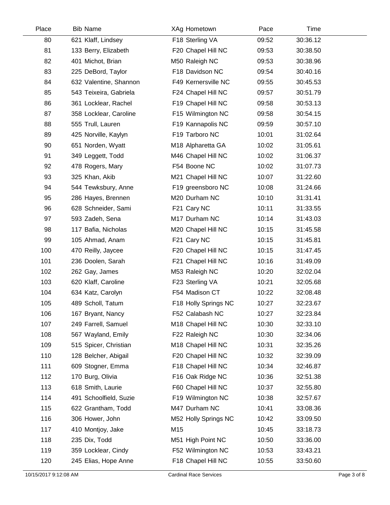| Place | <b>Bib Name</b>        | XAg Hometown         | Pace  | Time     |  |
|-------|------------------------|----------------------|-------|----------|--|
| 80    | 621 Klaff, Lindsey     | F18 Sterling VA      | 09:52 | 30:36.12 |  |
| 81    | 133 Berry, Elizabeth   | F20 Chapel Hill NC   | 09:53 | 30:38.50 |  |
| 82    | 401 Michot, Brian      | M50 Raleigh NC       | 09:53 | 30:38.96 |  |
| 83    | 225 DeBord, Taylor     | F18 Davidson NC      | 09:54 | 30:40.16 |  |
| 84    | 632 Valentine, Shannon | F49 Kernersville NC  | 09:55 | 30:45.53 |  |
| 85    | 543 Teixeira, Gabriela | F24 Chapel Hill NC   | 09:57 | 30:51.79 |  |
| 86    | 361 Locklear, Rachel   | F19 Chapel Hill NC   | 09:58 | 30:53.13 |  |
| 87    | 358 Locklear, Caroline | F15 Wilmington NC    | 09:58 | 30:54.15 |  |
| 88    | 555 Trull, Lauren      | F19 Kannapolis NC    | 09:59 | 30:57.10 |  |
| 89    | 425 Norville, Kaylyn   | F19 Tarboro NC       | 10:01 | 31:02.64 |  |
| 90    | 651 Norden, Wyatt      | M18 Alpharetta GA    | 10:02 | 31:05.61 |  |
| 91    | 349 Leggett, Todd      | M46 Chapel Hill NC   | 10:02 | 31:06.37 |  |
| 92    | 478 Rogers, Mary       | F54 Boone NC         | 10:02 | 31:07.73 |  |
| 93    | 325 Khan, Akib         | M21 Chapel Hill NC   | 10:07 | 31:22.60 |  |
| 94    | 544 Tewksbury, Anne    | F19 greensboro NC    | 10:08 | 31:24.66 |  |
| 95    | 286 Hayes, Brennen     | M20 Durham NC        | 10:10 | 31:31.41 |  |
| 96    | 628 Schneider, Sami    | F21 Cary NC          | 10:11 | 31:33.55 |  |
| 97    | 593 Zadeh, Sena        | M17 Durham NC        | 10:14 | 31:43.03 |  |
| 98    | 117 Bafia, Nicholas    | M20 Chapel Hill NC   | 10:15 | 31:45.58 |  |
| 99    | 105 Ahmad, Anam        | F21 Cary NC          | 10:15 | 31:45.81 |  |
| 100   | 470 Reilly, Jaycee     | F20 Chapel Hill NC   | 10:15 | 31:47.45 |  |
| 101   | 236 Doolen, Sarah      | F21 Chapel Hill NC   | 10:16 | 31:49.09 |  |
| 102   | 262 Gay, James         | M53 Raleigh NC       | 10:20 | 32:02.04 |  |
| 103   | 620 Klaff, Caroline    | F23 Sterling VA      | 10:21 | 32:05.68 |  |
| 104   | 634 Katz, Carolyn      | F54 Madison CT       | 10:22 | 32:08.48 |  |
| 105   | 489 Scholl, Tatum      | F18 Holly Springs NC | 10:27 | 32:23.67 |  |
| 106   | 167 Bryant, Nancy      | F52 Calabash NC      | 10:27 | 32:23.84 |  |
| 107   | 249 Farrell, Samuel    | M18 Chapel Hill NC   | 10:30 | 32:33.10 |  |
| 108   | 567 Wayland, Emily     | F22 Raleigh NC       | 10:30 | 32:34.06 |  |
| 109   | 515 Spicer, Christian  | M18 Chapel Hill NC   | 10:31 | 32:35.26 |  |
| 110   | 128 Belcher, Abigail   | F20 Chapel Hill NC   | 10:32 | 32:39.09 |  |
| 111   | 609 Stogner, Emma      | F18 Chapel Hill NC   | 10:34 | 32:46.87 |  |
| 112   | 170 Burg, Olivia       | F16 Oak Ridge NC     | 10:36 | 32:51.38 |  |
| 113   | 618 Smith, Laurie      | F60 Chapel Hill NC   | 10:37 | 32:55.80 |  |
| 114   | 491 Schoolfield, Suzie | F19 Wilmington NC    | 10:38 | 32:57.67 |  |
| 115   | 622 Grantham, Todd     | M47 Durham NC        | 10:41 | 33:08.36 |  |
| 116   | 306 Hower, John        | M52 Holly Springs NC | 10:42 | 33:09.50 |  |
| 117   | 410 Montjoy, Jake      | M15                  | 10:45 | 33:18.73 |  |
| 118   | 235 Dix, Todd          | M51 High Point NC    | 10:50 | 33:36.00 |  |
| 119   | 359 Locklear, Cindy    | F52 Wilmington NC    | 10:53 | 33:43.21 |  |
| 120   | 245 Elias, Hope Anne   | F18 Chapel Hill NC   | 10:55 | 33:50.60 |  |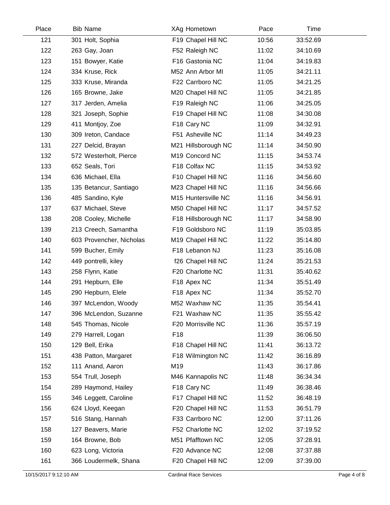| Place | <b>Bib Name</b>          | XAg Hometown        | Pace  | Time     |  |
|-------|--------------------------|---------------------|-------|----------|--|
| 121   | 301 Holt, Sophia         | F19 Chapel Hill NC  | 10:56 | 33:52.69 |  |
| 122   | 263 Gay, Joan            | F52 Raleigh NC      | 11:02 | 34:10.69 |  |
| 123   | 151 Bowyer, Katie        | F16 Gastonia NC     | 11:04 | 34:19.83 |  |
| 124   | 334 Kruse, Rick          | M52 Ann Arbor MI    | 11:05 | 34:21.11 |  |
| 125   | 333 Kruse, Miranda       | F22 Carrboro NC     | 11:05 | 34:21.25 |  |
| 126   | 165 Browne, Jake         | M20 Chapel Hill NC  | 11:05 | 34:21.85 |  |
| 127   | 317 Jerden, Amelia       | F19 Raleigh NC      | 11:06 | 34:25.05 |  |
| 128   | 321 Joseph, Sophie       | F19 Chapel Hill NC  | 11:08 | 34:30.08 |  |
| 129   | 411 Montjoy, Zoe         | F18 Cary NC         | 11:09 | 34:32.91 |  |
| 130   | 309 Ireton, Candace      | F51 Asheville NC    | 11:14 | 34:49.23 |  |
| 131   | 227 Delcid, Brayan       | M21 Hillsborough NC | 11:14 | 34:50.90 |  |
| 132   | 572 Westerholt, Pierce   | M19 Concord NC      | 11:15 | 34:53.74 |  |
| 133   | 652 Seals, Tori          | F18 Colfax NC       | 11:15 | 34:53.92 |  |
| 134   | 636 Michael, Ella        | F10 Chapel Hill NC  | 11:16 | 34:56.60 |  |
| 135   | 135 Betancur, Santiago   | M23 Chapel Hill NC  | 11:16 | 34:56.66 |  |
| 136   | 485 Sandino, Kyle        | M15 Huntersville NC | 11:16 | 34:56.91 |  |
| 137   | 637 Michael, Steve       | M50 Chapel Hill NC  | 11:17 | 34:57.52 |  |
| 138   | 208 Cooley, Michelle     | F18 Hillsborough NC | 11:17 | 34:58.90 |  |
| 139   | 213 Creech, Samantha     | F19 Goldsboro NC    | 11:19 | 35:03.85 |  |
| 140   | 603 Provencher, Nicholas | M19 Chapel Hill NC  | 11:22 | 35:14.80 |  |
| 141   | 599 Bucher, Emily        | F18 Lebanon NJ      | 11:23 | 35:16.08 |  |
| 142   | 449 pontrelli, kiley     | f26 Chapel Hill NC  | 11:24 | 35:21.53 |  |
| 143   | 258 Flynn, Katie         | F20 Charlotte NC    | 11:31 | 35:40.62 |  |
| 144   | 291 Hepburn, Elle        | F18 Apex NC         | 11:34 | 35:51.49 |  |
| 145   | 290 Hepburn, Elele       | F18 Apex NC         | 11:34 | 35:52.70 |  |
| 146   | 397 McLendon, Woody      | M52 Waxhaw NC       | 11:35 | 35:54.41 |  |
| 147   | 396 McLendon, Suzanne    | F21 Waxhaw NC       | 11:35 | 35:55.42 |  |
| 148   | 545 Thomas, Nicole       | F20 Morrisville NC  | 11:36 | 35:57.19 |  |
| 149   | 279 Harrell, Logan       | F <sub>18</sub>     | 11:39 | 36:06.50 |  |
| 150   | 129 Bell, Erika          | F18 Chapel Hill NC  | 11:41 | 36:13.72 |  |
| 151   | 438 Patton, Margaret     | F18 Wilmington NC   | 11:42 | 36:16.89 |  |
| 152   | 111 Anand, Aaron         | M19                 | 11:43 | 36:17.86 |  |
| 153   | 554 Trull, Joseph        | M46 Kannapolis NC   | 11:48 | 36:34.34 |  |
| 154   | 289 Haymond, Hailey      | F18 Cary NC         | 11:49 | 36:38.46 |  |
| 155   | 346 Leggett, Caroline    | F17 Chapel Hill NC  | 11:52 | 36:48.19 |  |
| 156   | 624 Lloyd, Keegan        | F20 Chapel Hill NC  | 11:53 | 36:51.79 |  |
| 157   | 516 Stang, Hannah        | F33 Carrboro NC     | 12:00 | 37:11.26 |  |
| 158   | 127 Beavers, Marie       | F52 Charlotte NC    | 12:02 | 37:19.52 |  |
| 159   | 164 Browne, Bob          | M51 Pfafftown NC    | 12:05 | 37:28.91 |  |
| 160   | 623 Long, Victoria       | F20 Advance NC      | 12:08 | 37:37.88 |  |
| 161   | 366 Loudermelk, Shana    | F20 Chapel Hill NC  | 12:09 | 37:39.00 |  |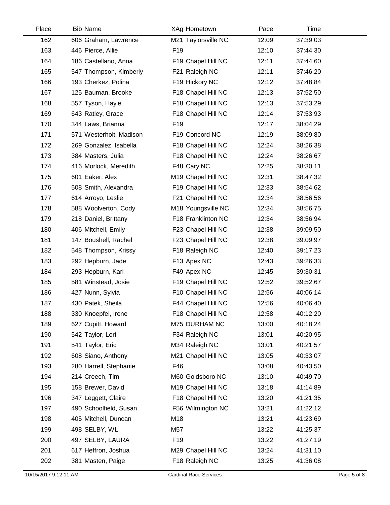| Place | <b>Bib Name</b>         | XAg Hometown        | Pace  | Time     |  |
|-------|-------------------------|---------------------|-------|----------|--|
| 162   | 606 Graham, Lawrence    | M21 Taylorsville NC | 12:09 | 37:39.03 |  |
| 163   | 446 Pierce, Allie       | F <sub>19</sub>     | 12:10 | 37:44.30 |  |
| 164   | 186 Castellano, Anna    | F19 Chapel Hill NC  | 12:11 | 37:44.60 |  |
| 165   | 547 Thompson, Kimberly  | F21 Raleigh NC      | 12:11 | 37:46.20 |  |
| 166   | 193 Cherkez, Polina     | F19 Hickory NC      | 12:12 | 37:48.84 |  |
| 167   | 125 Bauman, Brooke      | F18 Chapel Hill NC  | 12:13 | 37:52.50 |  |
| 168   | 557 Tyson, Hayle        | F18 Chapel Hill NC  | 12:13 | 37:53.29 |  |
| 169   | 643 Ratley, Grace       | F18 Chapel Hill NC  | 12:14 | 37:53.93 |  |
| 170   | 344 Laws, Brianna       | F <sub>19</sub>     | 12:17 | 38:04.29 |  |
| 171   | 571 Westerholt, Madison | F19 Concord NC      | 12:19 | 38:09.80 |  |
| 172   | 269 Gonzalez, Isabella  | F18 Chapel Hill NC  | 12:24 | 38:26.38 |  |
| 173   | 384 Masters, Julia      | F18 Chapel Hill NC  | 12:24 | 38:26.67 |  |
| 174   | 416 Morlock, Meredith   | F48 Cary NC         | 12:25 | 38:30.11 |  |
| 175   | 601 Eaker, Alex         | M19 Chapel Hill NC  | 12:31 | 38:47.32 |  |
| 176   | 508 Smith, Alexandra    | F19 Chapel Hill NC  | 12:33 | 38:54.62 |  |
| 177   | 614 Arroyo, Leslie      | F21 Chapel Hill NC  | 12:34 | 38:56.56 |  |
| 178   | 588 Woolverton, Cody    | M18 Youngsville NC  | 12:34 | 38:56.75 |  |
| 179   | 218 Daniel, Brittany    | F18 Franklinton NC  | 12:34 | 38:56.94 |  |
| 180   | 406 Mitchell, Emily     | F23 Chapel Hill NC  | 12:38 | 39:09.50 |  |
| 181   | 147 Boushell, Rachel    | F23 Chapel Hill NC  | 12:38 | 39:09.97 |  |
| 182   | 548 Thompson, Krissy    | F18 Raleigh NC      | 12:40 | 39:17.23 |  |
| 183   | 292 Hepburn, Jade       | F13 Apex NC         | 12:43 | 39:26.33 |  |
| 184   | 293 Hepburn, Kari       | F49 Apex NC         | 12:45 | 39:30.31 |  |
| 185   | 581 Winstead, Josie     | F19 Chapel Hill NC  | 12:52 | 39:52.67 |  |
| 186   | 427 Nunn, Sylvia        | F10 Chapel Hill NC  | 12:56 | 40:06.14 |  |
| 187   | 430 Patek, Sheila       | F44 Chapel Hill NC  | 12:56 | 40:06.40 |  |
| 188   | 330 Knoepfel, Irene     | F18 Chapel Hill NC  | 12:58 | 40:12.20 |  |
| 189   | 627 Cupitt, Howard      | M75 DURHAM NC       | 13:00 | 40:18.24 |  |
| 190   | 542 Taylor, Lori        | F34 Raleigh NC      | 13:01 | 40:20.95 |  |
| 191   | 541 Taylor, Eric        | M34 Raleigh NC      | 13:01 | 40:21.57 |  |
| 192   | 608 Siano, Anthony      | M21 Chapel Hill NC  | 13:05 | 40:33.07 |  |
| 193   | 280 Harrell, Stephanie  | F46                 | 13:08 | 40:43.50 |  |
| 194   | 214 Creech, Tim         | M60 Goldsboro NC    | 13:10 | 40:49.70 |  |
| 195   | 158 Brewer, David       | M19 Chapel Hill NC  | 13:18 | 41:14.89 |  |
| 196   | 347 Leggett, Claire     | F18 Chapel Hill NC  | 13:20 | 41:21.35 |  |
| 197   | 490 Schoolfield, Susan  | F56 Wilmington NC   | 13:21 | 41:22.12 |  |
| 198   | 405 Mitchell, Duncan    | M18                 | 13:21 | 41:23.69 |  |
| 199   | 498 SELBY, WL           | M57                 | 13:22 | 41:25.37 |  |
| 200   | 497 SELBY, LAURA        | F <sub>19</sub>     | 13:22 | 41:27.19 |  |
| 201   | 617 Heffron, Joshua     | M29 Chapel Hill NC  | 13:24 | 41:31.10 |  |
| 202   | 381 Masten, Paige       | F18 Raleigh NC      | 13:25 | 41:36.08 |  |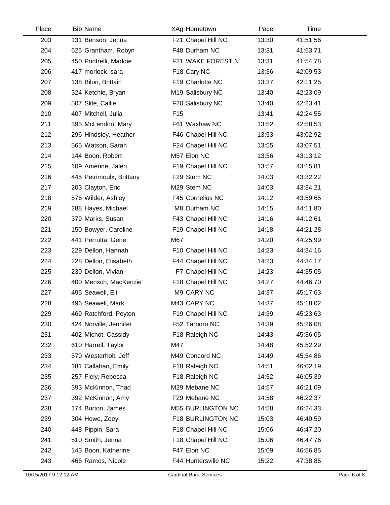| Place | <b>Bib Name</b>          | XAg Hometown        | Pace  | Time     |  |
|-------|--------------------------|---------------------|-------|----------|--|
| 203   | 131 Benson, Jenna        | F21 Chapel Hill NC  | 13:30 | 41:51.56 |  |
| 204   | 625 Grantham, Robyn      | F48 Durham NC       | 13:31 | 41:53.71 |  |
| 205   | 450 Pontrelli, Maddie    | F21 WAKE FOREST N   | 13:31 | 41:54.78 |  |
| 206   | 417 morlock, sara        | F18 Cary NC         | 13:36 | 42:09.53 |  |
| 207   | 138 Bilon, Brittain      | F19 Charlotte NC    | 13:37 | 42:11.25 |  |
| 208   | 324 Ketchie, Bryan       | M19 Salisbury NC    | 13:40 | 42:23.09 |  |
| 209   | 507 Slife, Callie        | F20 Salisbury NC    | 13:40 | 42:23.41 |  |
| 210   | 407 Mitchell, Julia      | F <sub>15</sub>     | 13:41 | 42:24.55 |  |
| 211   | 395 McLendon, Mary       | F61 Waxhaw NC       | 13:52 | 42:58.53 |  |
| 212   | 296 Hindsley, Heather    | F46 Chapel Hill NC  | 13:53 | 43:02.92 |  |
| 213   | 565 Watson, Sarah        | F24 Chapel Hill NC  | 13:55 | 43:07.51 |  |
| 214   | 144 Boon, Robert         | M57 Elon NC         | 13:56 | 43:13.12 |  |
| 215   | 109 Amerine, Jalen       | F19 Chapel Hill NC  | 13:57 | 43:15.81 |  |
| 216   | 445 Petrimoulx, Brittany | F29 Stem NC         | 14:03 | 43:32.22 |  |
| 217   | 203 Clayton, Eric        | M29 Stem NC         | 14:03 | 43:34.21 |  |
| 218   | 576 Wilder, Ashley       | F45 Cornelius NC    | 14:12 | 43:59.65 |  |
| 219   | 288 Hayes, Michael       | M8 Durham NC        | 14:15 | 44:11.80 |  |
| 220   | 379 Marks, Susan         | F43 Chapel Hill NC  | 14:16 | 44:12.61 |  |
| 221   | 150 Bowyer, Caroline     | F19 Chapel Hill NC  | 14:18 | 44:21.28 |  |
| 222   | 441 Perrotta, Gene       | M67                 | 14:20 | 44:25.99 |  |
| 223   | 229 Dellon, Hannah       | F10 Chapel Hill NC  | 14:23 | 44:34.16 |  |
| 224   | 228 Dellon, Elisabeth    | F44 Chapel Hill NC  | 14:23 | 44:34.17 |  |
| 225   | 230 Dellon, Vivian       | F7 Chapel Hill NC   | 14:23 | 44:35.05 |  |
| 226   | 400 Mensch, MacKenzie    | F18 Chapel Hill NC  | 14:27 | 44:46.70 |  |
| 227   | 495 Seawell, Eli         | M9 CARY NC          | 14:37 | 45:17.63 |  |
| 228   | 496 Seawell, Mark        | M43 CARY NC         | 14:37 | 45:18.02 |  |
| 229   | 469 Ratchford, Peyton    | F19 Chapel Hill NC  | 14:39 | 45:23.63 |  |
| 230   | 424 Norville, Jennifer   | F52 Tarboro NC      | 14:39 | 45:26.08 |  |
| 231   | 402 Michot, Cassidy      | F18 Raleigh NC      | 14:43 | 45:36.05 |  |
| 232   | 610 Harrell, Taylor      | M47                 | 14:48 | 45:52.29 |  |
| 233   | 570 Westerholt, Jeff     | M49 Concord NC      | 14:49 | 45:54.86 |  |
| 234   | 181 Callahan, Emily      | F18 Raleigh NC      | 14:51 | 46:02.19 |  |
| 235   | 257 Fiely, Rebecca       | F18 Raleigh NC      | 14:52 | 46:05.39 |  |
| 236   | 393 McKinnon, Thad       | M29 Mebane NC       | 14:57 | 46:21.09 |  |
| 237   | 392 McKinnon, Amy        | F29 Mebane NC       | 14:58 | 46:22.37 |  |
| 238   | 174 Burton, James        | M55 BURLINGTON NC   | 14:58 | 46:24.33 |  |
| 239   | 304 Howe, Zoey           | F18 BURLINGTON NC   | 15:03 | 46:40.59 |  |
| 240   | 448 Pippin, Sara         | F18 Chapel Hill NC  | 15:06 | 46:47.20 |  |
| 241   | 510 Smith, Jenna         | F18 Chapel Hill NC  | 15:06 | 46:47.76 |  |
| 242   | 143 Boon, Katherine      | F47 Elon NC         | 15:09 | 46:56.85 |  |
| 243   | 466 Ramos, Nicole        | F44 Huntersville NC | 15:22 | 47:38.85 |  |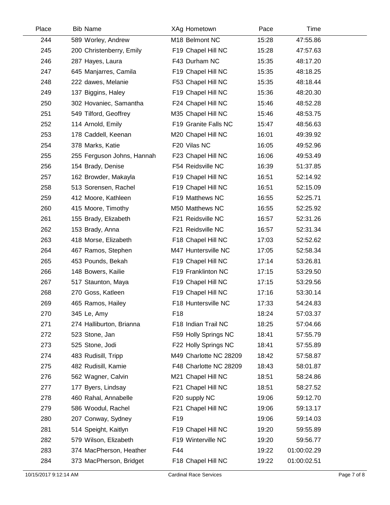| Place | <b>Bib Name</b>            | XAg Hometown           | Pace  | Time        |
|-------|----------------------------|------------------------|-------|-------------|
| 244   | 589 Worley, Andrew         | M18 Belmont NC         | 15:28 | 47:55.86    |
| 245   | 200 Christenberry, Emily   | F19 Chapel Hill NC     | 15:28 | 47:57.63    |
| 246   | 287 Hayes, Laura           | F43 Durham NC          | 15:35 | 48:17.20    |
| 247   | 645 Manjarres, Camila      | F19 Chapel Hill NC     | 15:35 | 48:18.25    |
| 248   | 222 dawes, Melanie         | F53 Chapel Hill NC     | 15:35 | 48:18.44    |
| 249   | 137 Biggins, Haley         | F19 Chapel Hill NC     | 15:36 | 48:20.30    |
| 250   | 302 Hovaniec, Samantha     | F24 Chapel Hill NC     | 15:46 | 48:52.28    |
| 251   | 549 Tilford, Geoffrey      | M35 Chapel Hill NC     | 15:46 | 48:53.75    |
| 252   | 114 Arnold, Emily          | F19 Granite Falls NC   | 15:47 | 48:56.63    |
| 253   | 178 Caddell, Keenan        | M20 Chapel Hill NC     | 16:01 | 49:39.92    |
| 254   | 378 Marks, Katie           | F20 Vilas NC           | 16:05 | 49:52.96    |
| 255   | 255 Ferguson Johns, Hannah | F23 Chapel Hill NC     | 16:06 | 49:53.49    |
| 256   | 154 Brady, Denise          | F54 Reidsville NC      | 16:39 | 51:37.85    |
| 257   | 162 Browder, Makayla       | F19 Chapel Hill NC     | 16:51 | 52:14.92    |
| 258   | 513 Sorensen, Rachel       | F19 Chapel Hill NC     | 16:51 | 52:15.09    |
| 259   | 412 Moore, Kathleen        | F19 Matthews NC        | 16:55 | 52:25.71    |
| 260   | 415 Moore, Timothy         | M50 Matthews NC        | 16:55 | 52:25.92    |
| 261   | 155 Brady, Elizabeth       | F21 Reidsville NC      | 16:57 | 52:31.26    |
| 262   | 153 Brady, Anna            | F21 Reidsville NC      | 16:57 | 52:31.34    |
| 263   | 418 Morse, Elizabeth       | F18 Chapel Hill NC     | 17:03 | 52:52.62    |
| 264   | 467 Ramos, Stephen         | M47 Huntersville NC    | 17:05 | 52:58.34    |
| 265   | 453 Pounds, Bekah          | F19 Chapel Hill NC     | 17:14 | 53:26.81    |
| 266   | 148 Bowers, Kailie         | F19 Franklinton NC     | 17:15 | 53:29.50    |
| 267   | 517 Staunton, Maya         | F19 Chapel Hill NC     | 17:15 | 53:29.56    |
| 268   | 270 Goss, Katleen          | F19 Chapel Hill NC     | 17:16 | 53:30.14    |
| 269   | 465 Ramos, Hailey          | F18 Huntersville NC    | 17:33 | 54:24.83    |
| 270   | 345 Le, Amy                | F <sub>18</sub>        | 18:24 | 57:03.37    |
| 271   | 274 Halliburton, Brianna   | F18 Indian Trail NC    | 18:25 | 57:04.66    |
| 272   | 523 Stone, Jan             | F59 Holly Springs NC   | 18:41 | 57:55.79    |
| 273   | 525 Stone, Jodi            | F22 Holly Springs NC   | 18:41 | 57:55.89    |
| 274   | 483 Rudisill, Tripp        | M49 Charlotte NC 28209 | 18:42 | 57:58.87    |
| 275   | 482 Rudisill, Kamie        | F48 Charlotte NC 28209 | 18:43 | 58:01.87    |
| 276   | 562 Wagner, Calvin         | M21 Chapel Hill NC     | 18:51 | 58:24.86    |
| 277   | 177 Byers, Lindsay         | F21 Chapel Hill NC     | 18:51 | 58:27.52    |
| 278   | 460 Rahal, Annabelle       | F20 supply NC          | 19:06 | 59:12.70    |
| 279   | 586 Woodul, Rachel         | F21 Chapel Hill NC     | 19:06 | 59:13.17    |
| 280   | 207 Conway, Sydney         | F <sub>19</sub>        | 19:06 | 59:14.03    |
| 281   | 514 Speight, Kaitlyn       | F19 Chapel Hill NC     | 19:20 | 59:55.89    |
| 282   | 579 Wilson, Elizabeth      | F19 Winterville NC     | 19:20 | 59:56.77    |
| 283   | 374 MacPherson, Heather    | F44                    | 19:22 | 01:00:02.29 |
| 284   | 373 MacPherson, Bridget    | F18 Chapel Hill NC     | 19:22 | 01:00:02.51 |